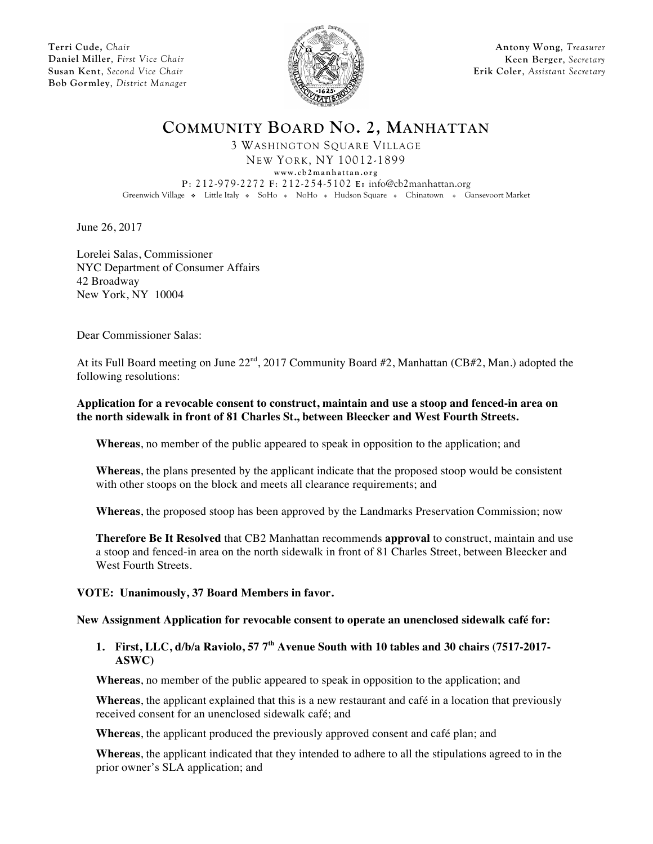**Terri Cude,** *Chair* **Daniel Miller**, *First Vice Chair* **Susan Kent**, *Second Vice Chair* **Bob Gormley**, *District Manager*



**Antony Wong**, *Treasurer* **Keen Berger**, *Secretary* **Erik Coler**, *Assistant Secretary*

**COMMUNITY BOARD NO. 2, MANHATTAN**

3 WASHINGTON SQUARE VILLAGE NEW YORK, NY 10012-1899

**www.cb2manhattan.org**

**P**: 212-979-2272 **F**: 212-254-5102 **E:** info@cb2manhattan.org Greenwich Village • Little Italy • SoHo • NoHo • Hudson Square • Chinatown • Gansevoort Market

June 26, 2017

Lorelei Salas, Commissioner NYC Department of Consumer Affairs 42 Broadway New York, NY 10004

Dear Commissioner Salas:

At its Full Board meeting on June  $22^{\text{nd}}$ , 2017 Community Board #2, Manhattan (CB#2, Man.) adopted the following resolutions:

### **Application for a revocable consent to construct, maintain and use a stoop and fenced-in area on the north sidewalk in front of 81 Charles St., between Bleecker and West Fourth Streets.**

**Whereas**, no member of the public appeared to speak in opposition to the application; and

**Whereas**, the plans presented by the applicant indicate that the proposed stoop would be consistent with other stoops on the block and meets all clearance requirements; and

**Whereas**, the proposed stoop has been approved by the Landmarks Preservation Commission; now

**Therefore Be It Resolved** that CB2 Manhattan recommends **approval** to construct, maintain and use a stoop and fenced-in area on the north sidewalk in front of 81 Charles Street, between Bleecker and West Fourth Streets.

## **VOTE: Unanimously, 37 Board Members in favor.**

#### **New Assignment Application for revocable consent to operate an unenclosed sidewalk café for:**

# **1. First, LLC, d/b/a Raviolo, 57 7th Avenue South with 10 tables and 30 chairs (7517-2017- ASWC)**

**Whereas**, no member of the public appeared to speak in opposition to the application; and

**Whereas**, the applicant explained that this is a new restaurant and café in a location that previously received consent for an unenclosed sidewalk café; and

**Whereas**, the applicant produced the previously approved consent and café plan; and

**Whereas**, the applicant indicated that they intended to adhere to all the stipulations agreed to in the prior owner's SLA application; and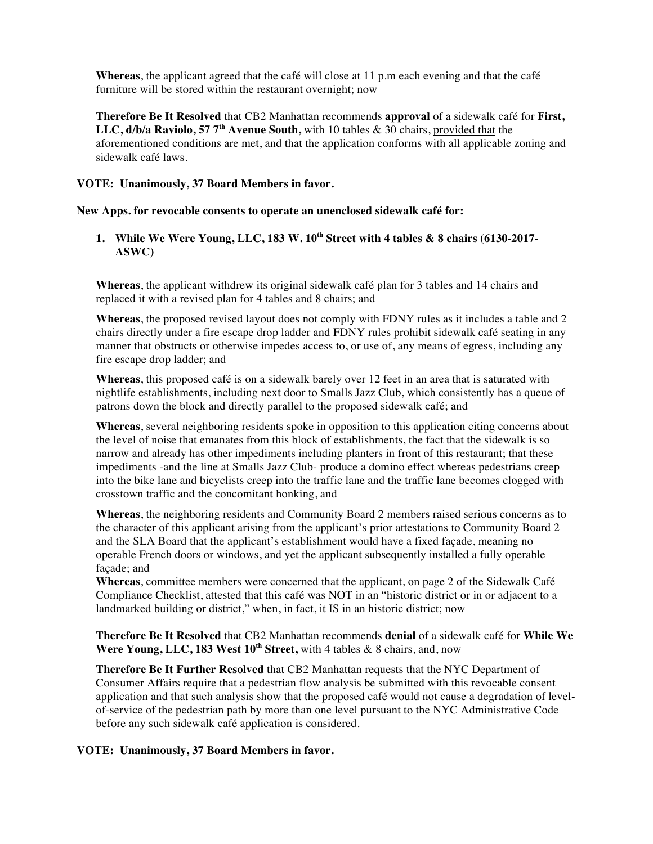**Whereas**, the applicant agreed that the café will close at 11 p.m each evening and that the café furniture will be stored within the restaurant overnight; now

**Therefore Be It Resolved** that CB2 Manhattan recommends **approval** of a sidewalk café for **First, LLC, d/b/a Raviolo, 57 7th Avenue South,** with 10 tables & 30 chairs, provided that the aforementioned conditions are met, and that the application conforms with all applicable zoning and sidewalk café laws.

### **VOTE: Unanimously, 37 Board Members in favor.**

**New Apps. for revocable consents to operate an unenclosed sidewalk café for:**

# **1. While We Were Young, LLC, 183 W. 10th Street with 4 tables & 8 chairs (6130-2017- ASWC)**

**Whereas**, the applicant withdrew its original sidewalk café plan for 3 tables and 14 chairs and replaced it with a revised plan for 4 tables and 8 chairs; and

**Whereas**, the proposed revised layout does not comply with FDNY rules as it includes a table and 2 chairs directly under a fire escape drop ladder and FDNY rules prohibit sidewalk café seating in any manner that obstructs or otherwise impedes access to, or use of, any means of egress, including any fire escape drop ladder; and

**Whereas**, this proposed café is on a sidewalk barely over 12 feet in an area that is saturated with nightlife establishments, including next door to Smalls Jazz Club, which consistently has a queue of patrons down the block and directly parallel to the proposed sidewalk café; and

**Whereas**, several neighboring residents spoke in opposition to this application citing concerns about the level of noise that emanates from this block of establishments, the fact that the sidewalk is so narrow and already has other impediments including planters in front of this restaurant; that these impediments -and the line at Smalls Jazz Club- produce a domino effect whereas pedestrians creep into the bike lane and bicyclists creep into the traffic lane and the traffic lane becomes clogged with crosstown traffic and the concomitant honking, and

**Whereas**, the neighboring residents and Community Board 2 members raised serious concerns as to the character of this applicant arising from the applicant's prior attestations to Community Board 2 and the SLA Board that the applicant's establishment would have a fixed façade, meaning no operable French doors or windows, and yet the applicant subsequently installed a fully operable façade; and

**Whereas**, committee members were concerned that the applicant, on page 2 of the Sidewalk Café Compliance Checklist, attested that this café was NOT in an "historic district or in or adjacent to a landmarked building or district," when, in fact, it IS in an historic district; now

**Therefore Be It Resolved** that CB2 Manhattan recommends **denial** of a sidewalk café for **While We Were Young, LLC, 183 West 10th Street,** with 4 tables & 8 chairs, and, now

**Therefore Be It Further Resolved** that CB2 Manhattan requests that the NYC Department of Consumer Affairs require that a pedestrian flow analysis be submitted with this revocable consent application and that such analysis show that the proposed café would not cause a degradation of levelof-service of the pedestrian path by more than one level pursuant to the NYC Administrative Code before any such sidewalk café application is considered.

## **VOTE: Unanimously, 37 Board Members in favor.**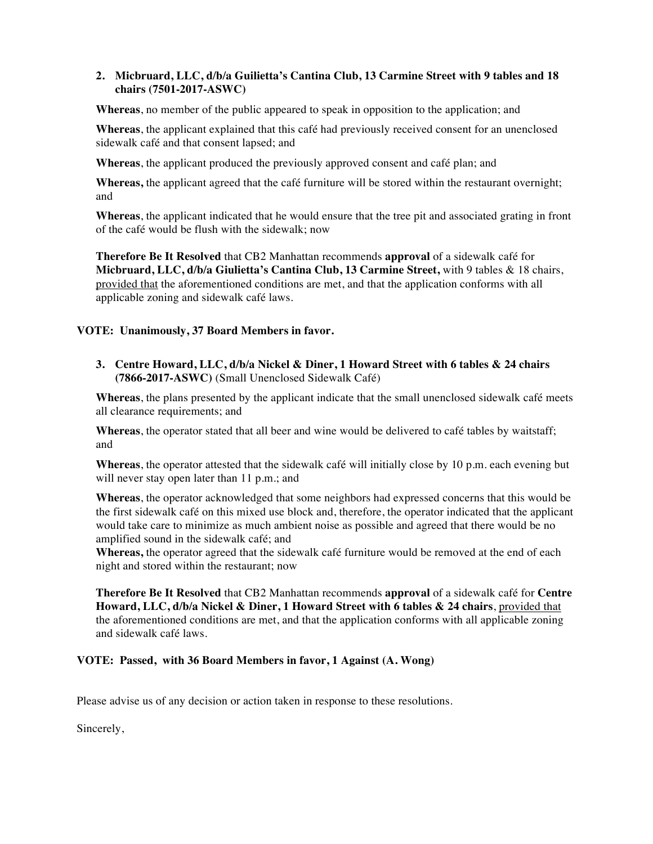## **2. Micbruard, LLC, d/b/a Guilietta's Cantina Club, 13 Carmine Street with 9 tables and 18 chairs (7501-2017-ASWC)**

**Whereas**, no member of the public appeared to speak in opposition to the application; and

**Whereas**, the applicant explained that this café had previously received consent for an unenclosed sidewalk café and that consent lapsed; and

**Whereas**, the applicant produced the previously approved consent and café plan; and

**Whereas,** the applicant agreed that the café furniture will be stored within the restaurant overnight; and

**Whereas**, the applicant indicated that he would ensure that the tree pit and associated grating in front of the café would be flush with the sidewalk; now

**Therefore Be It Resolved** that CB2 Manhattan recommends **approval** of a sidewalk café for **Micbruard, LLC, d/b/a Giulietta's Cantina Club, 13 Carmine Street,** with 9 tables & 18 chairs, provided that the aforementioned conditions are met, and that the application conforms with all applicable zoning and sidewalk café laws.

### **VOTE: Unanimously, 37 Board Members in favor.**

**3. Centre Howard, LLC, d/b/a Nickel & Diner, 1 Howard Street with 6 tables & 24 chairs (7866-2017-ASWC)** (Small Unenclosed Sidewalk Café)

**Whereas**, the plans presented by the applicant indicate that the small unenclosed sidewalk café meets all clearance requirements; and

**Whereas**, the operator stated that all beer and wine would be delivered to café tables by waitstaff; and

**Whereas**, the operator attested that the sidewalk café will initially close by 10 p.m. each evening but will never stay open later than 11 p.m.; and

**Whereas**, the operator acknowledged that some neighbors had expressed concerns that this would be the first sidewalk café on this mixed use block and, therefore, the operator indicated that the applicant would take care to minimize as much ambient noise as possible and agreed that there would be no amplified sound in the sidewalk café; and

**Whereas,** the operator agreed that the sidewalk café furniture would be removed at the end of each night and stored within the restaurant; now

**Therefore Be It Resolved** that CB2 Manhattan recommends **approval** of a sidewalk café for **Centre Howard, LLC, d/b/a Nickel & Diner, 1 Howard Street with 6 tables & 24 chairs**, provided that the aforementioned conditions are met, and that the application conforms with all applicable zoning and sidewalk café laws.

#### **VOTE: Passed, with 36 Board Members in favor, 1 Against (A. Wong)**

Please advise us of any decision or action taken in response to these resolutions.

Sincerely,